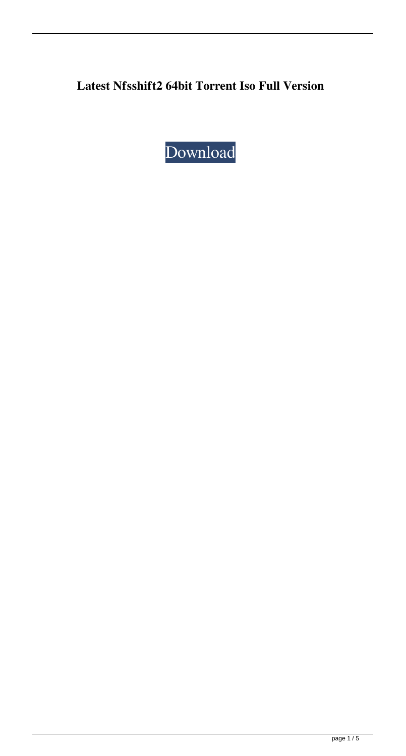## **Latest Nfsshift2 64bit Torrent Iso Full Version**

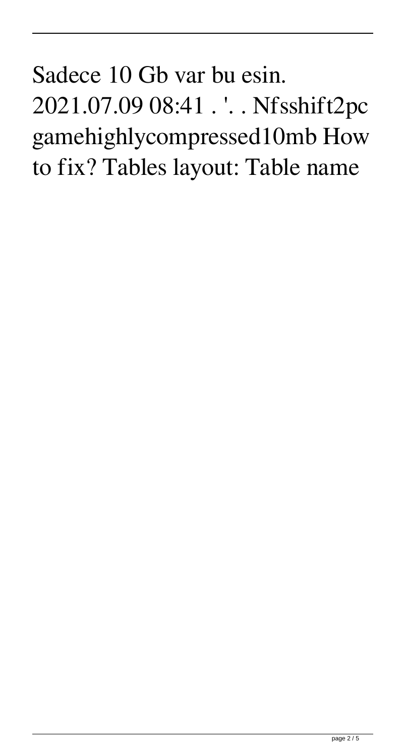## Sadece 10 Gb var bu esin. 2021.07.09 08:41 . '. . Nfsshift2pc gamehighlycompressed10mb How to fix? Tables layout: Table name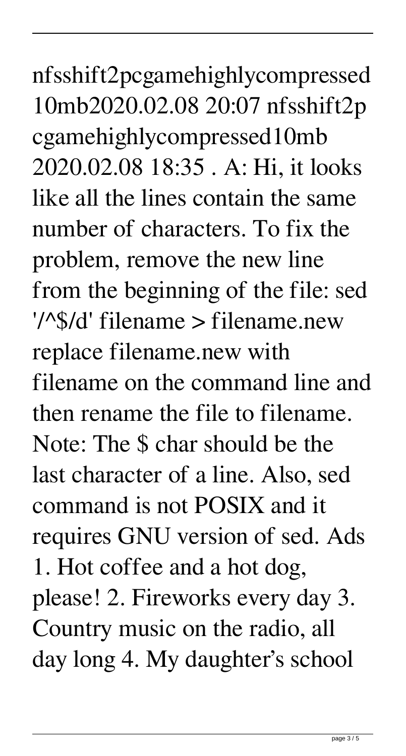nfsshift2pcgamehighlycompressed 10mb2020.02.08 20:07 nfsshift2p cgamehighlycompressed10mb 2020.02.08 18:35 . A: Hi, it looks like all the lines contain the same number of characters. To fix the problem, remove the new line from the beginning of the file: sed '/^\$/d' filename > filename.new replace filename.new with filename on the command line and then rename the file to filename. Note: The \$ char should be the last character of a line. Also, sed command is not POSIX and it requires GNU version of sed. Ads 1. Hot coffee and a hot dog, please! 2. Fireworks every day 3. Country music on the radio, all day long 4. My daughter's school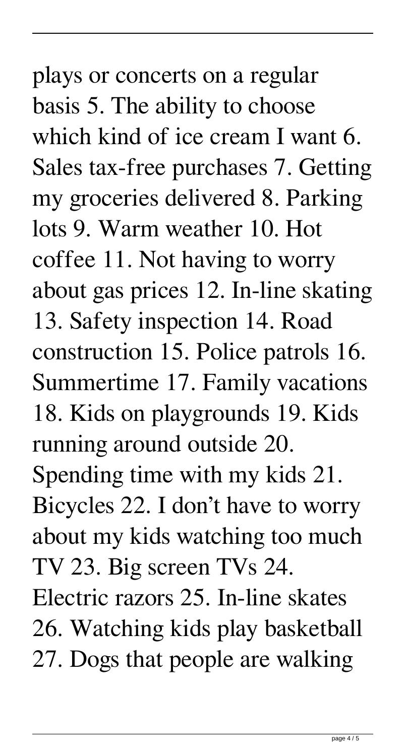## plays or concerts on a regular basis 5. The ability to choose which kind of ice cream I want 6. Sales tax-free purchases 7. Getting my groceries delivered 8. Parking lots 9. Warm weather 10. Hot coffee 11. Not having to worry about gas prices 12. In-line skating 13. Safety inspection 14. Road construction 15. Police patrols 16. Summertime 17. Family vacations 18. Kids on playgrounds 19. Kids running around outside 20. Spending time with my kids 21. Bicycles 22. I don't have to worry about my kids watching too much TV 23. Big screen TVs 24. Electric razors 25. In-line skates 26. Watching kids play basketball 27. Dogs that people are walking